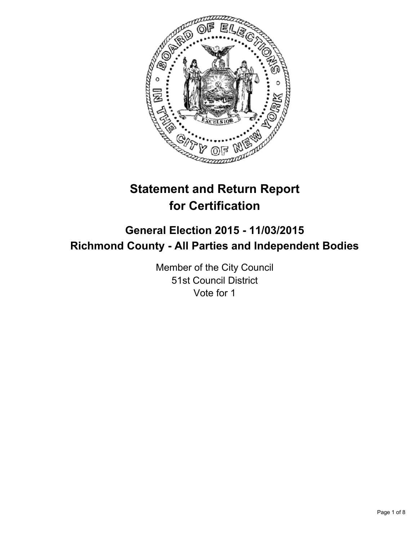

# **Statement and Return Report for Certification**

# **General Election 2015 - 11/03/2015 Richmond County - All Parties and Independent Bodies**

Member of the City Council 51st Council District Vote for 1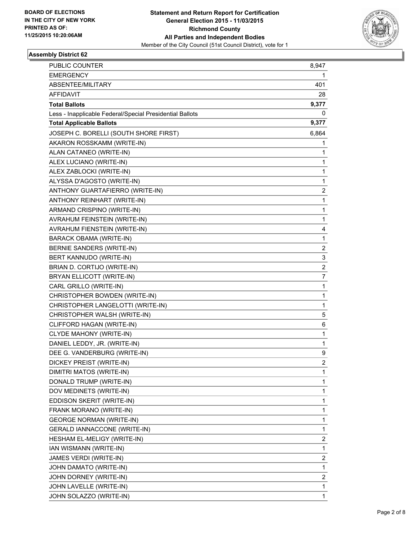

| <b>PUBLIC COUNTER</b>                                    | 8,947                   |
|----------------------------------------------------------|-------------------------|
| <b>EMERGENCY</b>                                         | 1                       |
| ABSENTEE/MILITARY                                        | 401                     |
| <b>AFFIDAVIT</b>                                         | 28                      |
| <b>Total Ballots</b>                                     | 9,377                   |
| Less - Inapplicable Federal/Special Presidential Ballots | 0                       |
| <b>Total Applicable Ballots</b>                          | 9,377                   |
| JOSEPH C. BORELLI (SOUTH SHORE FIRST)                    | 6,864                   |
| AKARON ROSSKAMM (WRITE-IN)                               | 1                       |
| ALAN CATANEO (WRITE-IN)                                  | 1                       |
| ALEX LUCIANO (WRITE-IN)                                  | 1                       |
| ALEX ZABLOCKI (WRITE-IN)                                 | 1                       |
| ALYSSA D'AGOSTO (WRITE-IN)                               | 1                       |
| ANTHONY GUARTAFIERRO (WRITE-IN)                          | 2                       |
| ANTHONY REINHART (WRITE-IN)                              | 1                       |
| ARMAND CRISPINO (WRITE-IN)                               | 1                       |
| AVRAHUM FEINSTEIN (WRITE-IN)                             | 1                       |
| AVRAHUM FIENSTEIN (WRITE-IN)                             | 4                       |
| BARACK OBAMA (WRITE-IN)                                  | 1                       |
| BERNIE SANDERS (WRITE-IN)                                | 2                       |
| BERT KANNUDO (WRITE-IN)                                  | 3                       |
| BRIAN D. CORTIJO (WRITE-IN)                              | 2                       |
| BRYAN ELLICOTT (WRITE-IN)                                | 7                       |
| CARL GRILLO (WRITE-IN)                                   | 1                       |
| CHRISTOPHER BOWDEN (WRITE-IN)                            | 1                       |
| CHRISTOPHER LANGELOTTI (WRITE-IN)                        | 1                       |
| CHRISTOPHER WALSH (WRITE-IN)                             | 5                       |
| CLIFFORD HAGAN (WRITE-IN)                                | 6                       |
| CLYDE MAHONY (WRITE-IN)                                  | 1                       |
| DANIEL LEDDY, JR. (WRITE-IN)                             | 1                       |
| DEE G. VANDERBURG (WRITE-IN)                             | 9                       |
| DICKEY PREIST (WRITE-IN)                                 | $\overline{\mathbf{c}}$ |
| DIMITRI MATOS (WRITE-IN)                                 | 1                       |
| DONALD TRUMP (WRITE-IN)                                  | 1                       |
| DOV MEDINETS (WRITE-IN)                                  | 1                       |
| EDDISON SKERIT (WRITE-IN)                                | 1                       |
| FRANK MORANO (WRITE-IN)                                  | 1                       |
| <b>GEORGE NORMAN (WRITE-IN)</b>                          | 1                       |
| <b>GERALD IANNACCONE (WRITE-IN)</b>                      | 1                       |
| HESHAM EL-MELIGY (WRITE-IN)                              | 2                       |
| IAN WISMANN (WRITE-IN)                                   | 1                       |
| JAMES VERDI (WRITE-IN)                                   | 2                       |
| JOHN DAMATO (WRITE-IN)                                   | 1                       |
| JOHN DORNEY (WRITE-IN)                                   | 2                       |
| JOHN LAVELLE (WRITE-IN)                                  | 1                       |
| JOHN SOLAZZO (WRITE-IN)                                  | 1                       |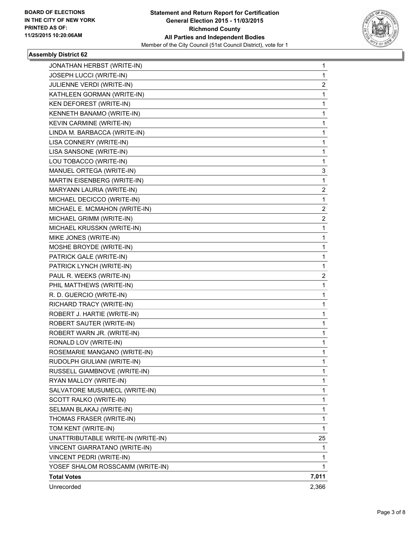

| JONATHAN HERBST (WRITE-IN)         | 1     |
|------------------------------------|-------|
| JOSEPH LUCCI (WRITE-IN)            | 1     |
| JULIENNE VERDI (WRITE-IN)          | 2     |
| KATHLEEN GORMAN (WRITE-IN)         | 1     |
| KEN DEFOREST (WRITE-IN)            | 1     |
| KENNETH BANAMO (WRITE-IN)          | 1     |
| KEVIN CARMINE (WRITE-IN)           | 1     |
| LINDA M. BARBACCA (WRITE-IN)       | 1     |
| LISA CONNERY (WRITE-IN)            | 1     |
| LISA SANSONE (WRITE-IN)            | 1     |
| LOU TOBACCO (WRITE-IN)             | 1     |
| MANUEL ORTEGA (WRITE-IN)           | 3     |
| MARTIN EISENBERG (WRITE-IN)        | 1     |
| MARYANN LAURIA (WRITE-IN)          | 2     |
| MICHAEL DECICCO (WRITE-IN)         | 1     |
| MICHAEL E. MCMAHON (WRITE-IN)      | 2     |
| MICHAEL GRIMM (WRITE-IN)           | 2     |
| MICHAEL KRUSSKN (WRITE-IN)         | 1     |
| MIKE JONES (WRITE-IN)              | 1     |
| MOSHE BROYDE (WRITE-IN)            | 1     |
| PATRICK GALE (WRITE-IN)            | 1     |
| PATRICK LYNCH (WRITE-IN)           | 1     |
| PAUL R. WEEKS (WRITE-IN)           | 2     |
| PHIL MATTHEWS (WRITE-IN)           | 1     |
| R. D. GUERCIO (WRITE-IN)           | 1     |
| RICHARD TRACY (WRITE-IN)           | 1     |
| ROBERT J. HARTIE (WRITE-IN)        | 1     |
| ROBERT SAUTER (WRITE-IN)           | 1     |
| ROBERT WARN JR. (WRITE-IN)         | 1     |
| RONALD LOV (WRITE-IN)              | 1     |
| ROSEMARIE MANGANO (WRITE-IN)       | 1     |
| RUDOLPH GIULIANI (WRITE-IN)        | 1     |
| RUSSELL GIAMBNOVE (WRITE-IN)       | 1     |
| RYAN MALLOY (WRITE-IN)             | 1     |
| SALVATORE MUSUMECL (WRITE-IN)      | 1     |
| SCOTT RALKO (WRITE-IN)             | 1     |
| SELMAN BLAKAJ (WRITE-IN)           | 1     |
| THOMAS FRASER (WRITE-IN)           | 1     |
| TOM KENT (WRITE-IN)                | 1     |
| UNATTRIBUTABLE WRITE-IN (WRITE-IN) | 25    |
| VINCENT GIARRATANO (WRITE-IN)      | 1     |
| VINCENT PEDRI (WRITE-IN)           | 1     |
| YOSEF SHALOM ROSSCAMM (WRITE-IN)   | 1     |
| <b>Total Votes</b>                 | 7,011 |
| Unrecorded                         | 2,366 |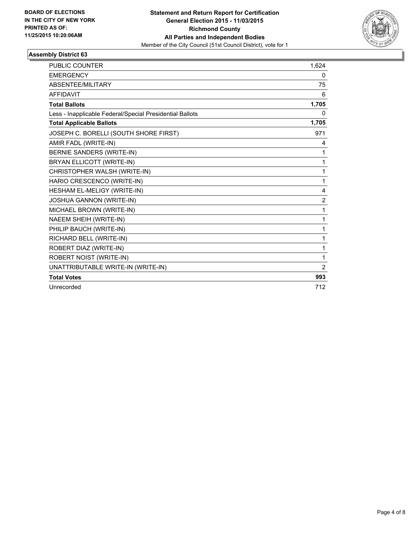

| <b>PUBLIC COUNTER</b>                                    | 1,624          |
|----------------------------------------------------------|----------------|
| <b>EMERGENCY</b>                                         | 0              |
| <b>ABSENTEE/MILITARY</b>                                 | 75             |
| <b>AFFIDAVIT</b>                                         | 6              |
| <b>Total Ballots</b>                                     | 1,705          |
| Less - Inapplicable Federal/Special Presidential Ballots | 0              |
| <b>Total Applicable Ballots</b>                          | 1,705          |
| JOSEPH C. BORELLI (SOUTH SHORE FIRST)                    | 971            |
| AMIR FADL (WRITE-IN)                                     | 4              |
| BERNIE SANDERS (WRITE-IN)                                | 1              |
| BRYAN ELLICOTT (WRITE-IN)                                | $\mathbf{1}$   |
| CHRISTOPHER WALSH (WRITE-IN)                             | 1              |
| HARIO CRESCENCO (WRITE-IN)                               | 1              |
| HESHAM EL-MELIGY (WRITE-IN)                              | 4              |
| JOSHUA GANNON (WRITE-IN)                                 | $\overline{2}$ |
| MICHAEL BROWN (WRITE-IN)                                 | 1              |
| NAEEM SHEIH (WRITE-IN)                                   | 1              |
| PHILIP BAUCH (WRITE-IN)                                  | 1              |
| RICHARD BELL (WRITE-IN)                                  | 1              |
| ROBERT DIAZ (WRITE-IN)                                   | 1              |
| ROBERT NOIST (WRITE-IN)                                  | 1              |
| UNATTRIBUTABLE WRITE-IN (WRITE-IN)                       | 2              |
| <b>Total Votes</b>                                       | 993            |
| Unrecorded                                               | 712            |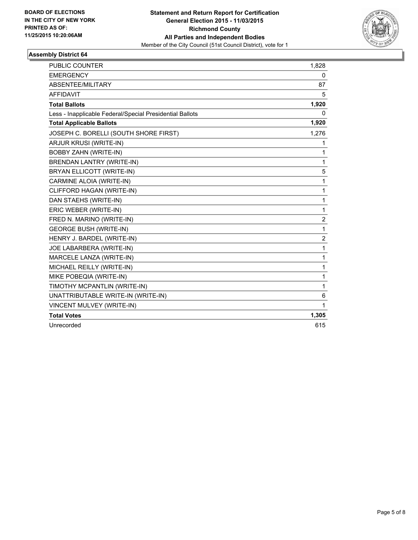

| <b>PUBLIC COUNTER</b>                                    | 1,828          |
|----------------------------------------------------------|----------------|
| <b>EMERGENCY</b>                                         | 0              |
| ABSENTEE/MILITARY                                        | 87             |
| <b>AFFIDAVIT</b>                                         | 5              |
| <b>Total Ballots</b>                                     | 1,920          |
| Less - Inapplicable Federal/Special Presidential Ballots | 0              |
| <b>Total Applicable Ballots</b>                          | 1,920          |
| JOSEPH C. BORELLI (SOUTH SHORE FIRST)                    | 1,276          |
| ARJUR KRUSI (WRITE-IN)                                   | 1              |
| <b>BOBBY ZAHN (WRITE-IN)</b>                             | 1              |
| <b>BRENDAN LANTRY (WRITE-IN)</b>                         | $\mathbf{1}$   |
| BRYAN ELLICOTT (WRITE-IN)                                | 5              |
| CARMINE ALOIA (WRITE-IN)                                 | 1              |
| CLIFFORD HAGAN (WRITE-IN)                                | 1              |
| DAN STAEHS (WRITE-IN)                                    | 1              |
| ERIC WEBER (WRITE-IN)                                    | 1              |
| FRED N. MARINO (WRITE-IN)                                | $\overline{c}$ |
| <b>GEORGE BUSH (WRITE-IN)</b>                            | $\mathbf{1}$   |
| HENRY J. BARDEL (WRITE-IN)                               | $\overline{2}$ |
| JOE LABARBERA (WRITE-IN)                                 | $\mathbf{1}$   |
| MARCELE LANZA (WRITE-IN)                                 | 1              |
| MICHAEL REILLY (WRITE-IN)                                | 1              |
| MIKE POBEQIA (WRITE-IN)                                  | 1              |
| TIMOTHY MCPANTLIN (WRITE-IN)                             | 1              |
| UNATTRIBUTABLE WRITE-IN (WRITE-IN)                       | 6              |
| VINCENT MULVEY (WRITE-IN)                                | 1              |
| <b>Total Votes</b>                                       | 1,305          |
| Unrecorded                                               | 615            |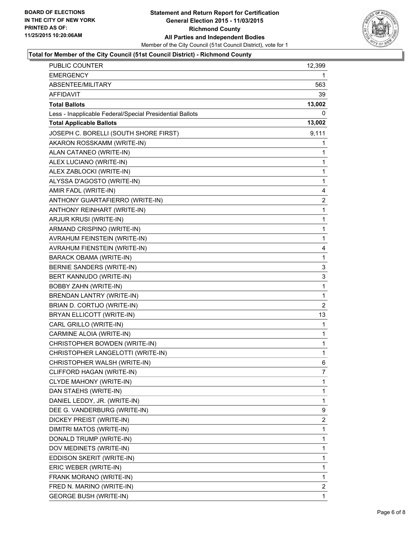

## **Total for Member of the City Council (51st Council District) - Richmond County**

| <b>PUBLIC COUNTER</b>                                    | 12,399                  |
|----------------------------------------------------------|-------------------------|
| <b>EMERGENCY</b>                                         | 1.                      |
| ABSENTEE/MILITARY                                        | 563                     |
| AFFIDAVIT                                                | 39                      |
| <b>Total Ballots</b>                                     | 13,002                  |
| Less - Inapplicable Federal/Special Presidential Ballots | 0                       |
| <b>Total Applicable Ballots</b>                          | 13,002                  |
| JOSEPH C. BORELLI (SOUTH SHORE FIRST)                    | 9,111                   |
| AKARON ROSSKAMM (WRITE-IN)                               | 1                       |
| ALAN CATANEO (WRITE-IN)                                  | 1                       |
| ALEX LUCIANO (WRITE-IN)                                  | 1                       |
| ALEX ZABLOCKI (WRITE-IN)                                 | 1                       |
| ALYSSA D'AGOSTO (WRITE-IN)                               | 1                       |
| AMIR FADL (WRITE-IN)                                     | 4                       |
| ANTHONY GUARTAFIERRO (WRITE-IN)                          | $\overline{\mathbf{c}}$ |
| ANTHONY REINHART (WRITE-IN)                              | 1                       |
| ARJUR KRUSI (WRITE-IN)                                   | 1                       |
| ARMAND CRISPINO (WRITE-IN)                               | 1                       |
| AVRAHUM FEINSTEIN (WRITE-IN)                             | 1                       |
| AVRAHUM FIENSTEIN (WRITE-IN)                             | 4                       |
| <b>BARACK OBAMA (WRITE-IN)</b>                           | 1                       |
| BERNIE SANDERS (WRITE-IN)                                | 3                       |
| BERT KANNUDO (WRITE-IN)                                  | 3                       |
| <b>BOBBY ZAHN (WRITE-IN)</b>                             | 1                       |
| BRENDAN LANTRY (WRITE-IN)                                | 1                       |
| BRIAN D. CORTIJO (WRITE-IN)                              | 2                       |
| BRYAN ELLICOTT (WRITE-IN)                                | 13                      |
| CARL GRILLO (WRITE-IN)                                   | 1                       |
| CARMINE ALOIA (WRITE-IN)                                 | 1                       |
| CHRISTOPHER BOWDEN (WRITE-IN)                            | 1                       |
| CHRISTOPHER LANGELOTTI (WRITE-IN)                        | 1                       |
| CHRISTOPHER WALSH (WRITE-IN)                             | 6                       |
| CLIFFORD HAGAN (WRITE-IN)                                | 7                       |
| CLYDE MAHONY (WRITE-IN)                                  | 1                       |
| DAN STAEHS (WRITE-IN)                                    | 1                       |
| DANIEL LEDDY, JR. (WRITE-IN)                             | 1                       |
| DEE G. VANDERBURG (WRITE-IN)                             | 9                       |
| DICKEY PREIST (WRITE-IN)                                 | 2                       |
| DIMITRI MATOS (WRITE-IN)                                 | 1                       |
| DONALD TRUMP (WRITE-IN)                                  | 1                       |
| DOV MEDINETS (WRITE-IN)                                  | 1                       |
| EDDISON SKERIT (WRITE-IN)                                | 1                       |
| ERIC WEBER (WRITE-IN)                                    | 1                       |
| FRANK MORANO (WRITE-IN)                                  | 1                       |
| FRED N. MARINO (WRITE-IN)                                | $\mathbf{2}$            |
| <b>GEORGE BUSH (WRITE-IN)</b>                            | 1                       |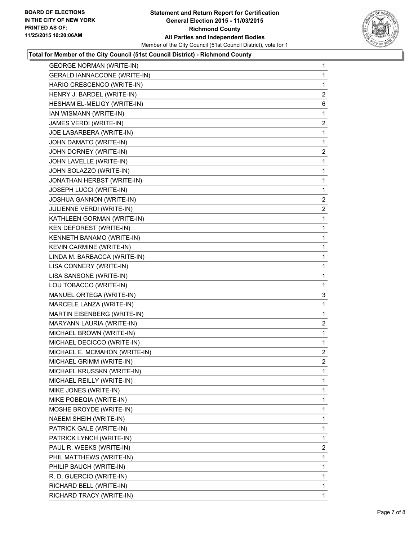

#### **Total for Member of the City Council (51st Council District) - Richmond County**

| <b>GEORGE NORMAN (WRITE-IN)</b>     | 1              |
|-------------------------------------|----------------|
| <b>GERALD IANNACCONE (WRITE-IN)</b> | 1              |
| HARIO CRESCENCO (WRITE-IN)          | 1              |
| HENRY J. BARDEL (WRITE-IN)          | $\overline{2}$ |
| HESHAM EL-MELIGY (WRITE-IN)         | 6              |
| IAN WISMANN (WRITE-IN)              | 1              |
| JAMES VERDI (WRITE-IN)              | 2              |
| JOE LABARBERA (WRITE-IN)            | 1              |
| JOHN DAMATO (WRITE-IN)              | 1              |
| JOHN DORNEY (WRITE-IN)              | 2              |
| JOHN LAVELLE (WRITE-IN)             | 1              |
| JOHN SOLAZZO (WRITE-IN)             | 1              |
| JONATHAN HERBST (WRITE-IN)          | 1              |
| JOSEPH LUCCI (WRITE-IN)             | $\mathbf 1$    |
| JOSHUA GANNON (WRITE-IN)            | $\mathbf{2}$   |
| JULIENNE VERDI (WRITE-IN)           | 2              |
| KATHLEEN GORMAN (WRITE-IN)          | 1              |
| KEN DEFOREST (WRITE-IN)             | 1              |
| KENNETH BANAMO (WRITE-IN)           | 1              |
| KEVIN CARMINE (WRITE-IN)            | 1              |
| LINDA M. BARBACCA (WRITE-IN)        | 1              |
| LISA CONNERY (WRITE-IN)             | 1              |
| LISA SANSONE (WRITE-IN)             | 1              |
| LOU TOBACCO (WRITE-IN)              | 1              |
| MANUEL ORTEGA (WRITE-IN)            | 3              |
| MARCELE LANZA (WRITE-IN)            | 1              |
| MARTIN EISENBERG (WRITE-IN)         | 1              |
| MARYANN LAURIA (WRITE-IN)           | 2              |
| MICHAEL BROWN (WRITE-IN)            | 1              |
| MICHAEL DECICCO (WRITE-IN)          | 1              |
| MICHAEL E. MCMAHON (WRITE-IN)       | $\overline{2}$ |
| MICHAEL GRIMM (WRITE-IN)            | 2              |
| MICHAEL KRUSSKN (WRITE-IN)          | 1              |
| MICHAEL REILLY (WRITE-IN)           | 1              |
| MIKE JONES (WRITE-IN)               | 1              |
| MIKE POBEQIA (WRITE-IN)             | 1              |
| MOSHE BROYDE (WRITE-IN)             | 1              |
| NAEEM SHEIH (WRITE-IN)              | 1              |
| PATRICK GALE (WRITE-IN)             | 1              |
| PATRICK LYNCH (WRITE-IN)            | 1              |
| PAUL R. WEEKS (WRITE-IN)            | 2              |
| PHIL MATTHEWS (WRITE-IN)            | 1              |
| PHILIP BAUCH (WRITE-IN)             | 1              |
| R. D. GUERCIO (WRITE-IN)            | 1              |
| RICHARD BELL (WRITE-IN)             | 1              |
| RICHARD TRACY (WRITE-IN)            | 1              |
|                                     |                |